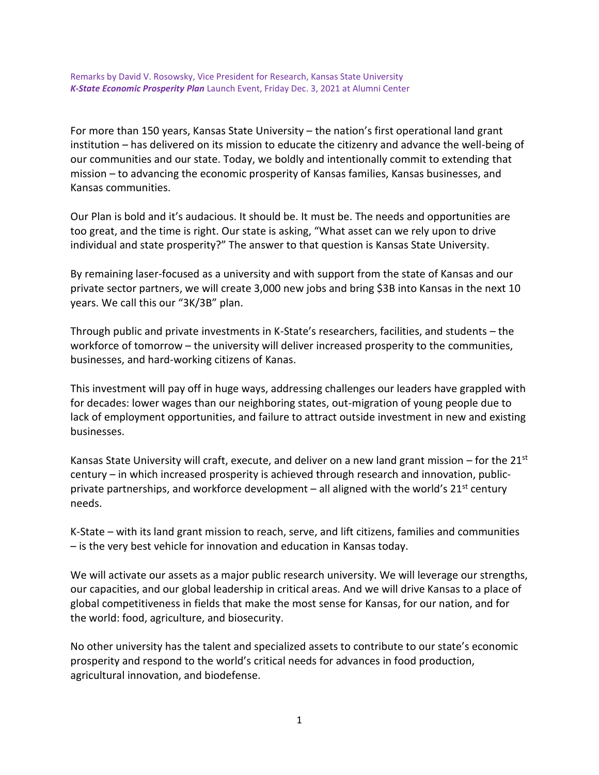Remarks by David V. Rosowsky, Vice President for Research, Kansas State University *K-State Economic Prosperity Plan* Launch Event, Friday Dec. 3, 2021 at Alumni Center

For more than 150 years, Kansas State University – the nation's first operational land grant institution – has delivered on its mission to educate the citizenry and advance the well-being of our communities and our state. Today, we boldly and intentionally commit to extending that mission – to advancing the economic prosperity of Kansas families, Kansas businesses, and Kansas communities.

Our Plan is bold and it's audacious. It should be. It must be. The needs and opportunities are too great, and the time is right. Our state is asking, "What asset can we rely upon to drive individual and state prosperity?" The answer to that question is Kansas State University.

By remaining laser-focused as a university and with support from the state of Kansas and our private sector partners, we will create 3,000 new jobs and bring \$3B into Kansas in the next 10 years. We call this our "3K/3B" plan.

Through public and private investments in K-State's researchers, facilities, and students – the workforce of tomorrow – the university will deliver increased prosperity to the communities, businesses, and hard-working citizens of Kanas.

This investment will pay off in huge ways, addressing challenges our leaders have grappled with for decades: lower wages than our neighboring states, out-migration of young people due to lack of employment opportunities, and failure to attract outside investment in new and existing businesses.

Kansas State University will craft, execute, and deliver on a new land grant mission – for the 21st century – in which increased prosperity is achieved through research and innovation, publicprivate partnerships, and workforce development – all aligned with the world's  $21<sup>st</sup>$  century needs.

K-State – with its land grant mission to reach, serve, and lift citizens, families and communities – is the very best vehicle for innovation and education in Kansas today.

We will activate our assets as a major public research university. We will leverage our strengths, our capacities, and our global leadership in critical areas. And we will drive Kansas to a place of global competitiveness in fields that make the most sense for Kansas, for our nation, and for the world: food, agriculture, and biosecurity.

No other university has the talent and specialized assets to contribute to our state's economic prosperity and respond to the world's critical needs for advances in food production, agricultural innovation, and biodefense.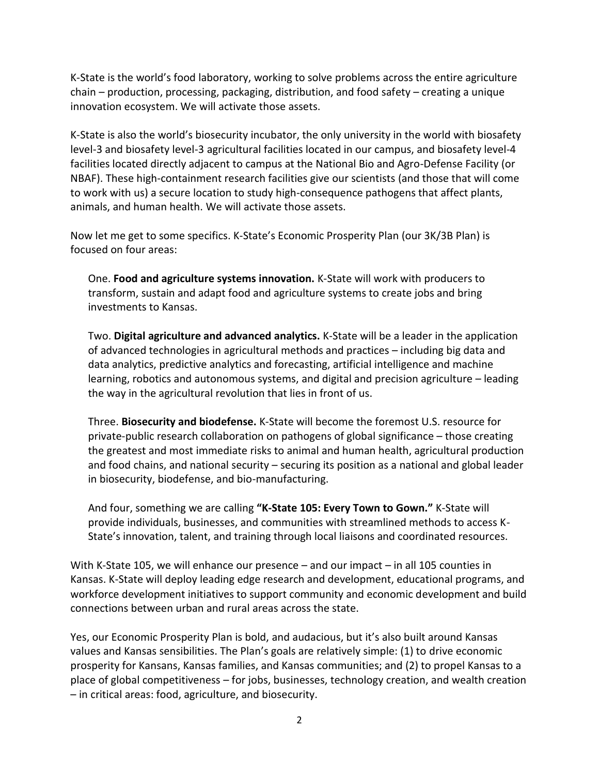K-State is the world's food laboratory, working to solve problems across the entire agriculture chain – production, processing, packaging, distribution, and food safety – creating a unique innovation ecosystem. We will activate those assets.

K-State is also the world's biosecurity incubator, the only university in the world with biosafety level-3 and biosafety level-3 agricultural facilities located in our campus, and biosafety level-4 facilities located directly adjacent to campus at the National Bio and Agro-Defense Facility (or NBAF). These high-containment research facilities give our scientists (and those that will come to work with us) a secure location to study high-consequence pathogens that affect plants, animals, and human health. We will activate those assets.

Now let me get to some specifics. K-State's Economic Prosperity Plan (our 3K/3B Plan) is focused on four areas:

One. **Food and agriculture systems innovation.** K-State will work with producers to transform, sustain and adapt food and agriculture systems to create jobs and bring investments to Kansas.

Two. **Digital agriculture and advanced analytics.** K-State will be a leader in the application of advanced technologies in agricultural methods and practices – including big data and data analytics, predictive analytics and forecasting, artificial intelligence and machine learning, robotics and autonomous systems, and digital and precision agriculture – leading the way in the agricultural revolution that lies in front of us.

Three. **Biosecurity and biodefense.** K-State will become the foremost U.S. resource for private-public research collaboration on pathogens of global significance – those creating the greatest and most immediate risks to animal and human health, agricultural production and food chains, and national security – securing its position as a national and global leader in biosecurity, biodefense, and bio-manufacturing.

And four, something we are calling **"K-State 105: Every Town to Gown."** K-State will provide individuals, businesses, and communities with streamlined methods to access K-State's innovation, talent, and training through local liaisons and coordinated resources.

With K-State 105, we will enhance our presence – and our impact – in all 105 counties in Kansas. K-State will deploy leading edge research and development, educational programs, and workforce development initiatives to support community and economic development and build connections between urban and rural areas across the state.

Yes, our Economic Prosperity Plan is bold, and audacious, but it's also built around Kansas values and Kansas sensibilities. The Plan's goals are relatively simple: (1) to drive economic prosperity for Kansans, Kansas families, and Kansas communities; and (2) to propel Kansas to a place of global competitiveness – for jobs, businesses, technology creation, and wealth creation – in critical areas: food, agriculture, and biosecurity.